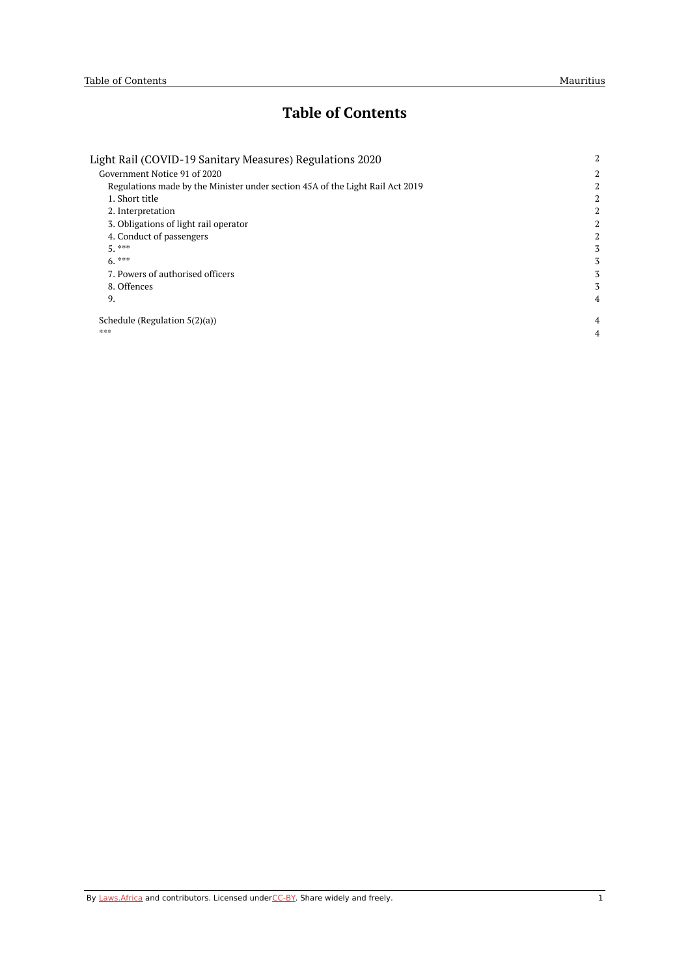# **Table of Contents**

| Light Rail (COVID-19 Sanitary Measures) Regulations 2020<br>Government Notice 91 of 2020 | 2 |
|------------------------------------------------------------------------------------------|---|
|                                                                                          | 2 |
| Regulations made by the Minister under section 45A of the Light Rail Act 2019            | 2 |
| 1. Short title                                                                           | 2 |
| 2. Interpretation                                                                        | 2 |
| 3. Obligations of light rail operator                                                    | 2 |
| 4. Conduct of passengers                                                                 | 2 |
| $5.***$                                                                                  | 3 |
| $6.***$                                                                                  | 3 |
| 7. Powers of authorised officers                                                         | 3 |
| 8. Offences                                                                              | 3 |
| 9.                                                                                       | 4 |
|                                                                                          |   |
| Schedule (Regulation $5(2)(a)$ )<br>***                                                  | 4 |
|                                                                                          | 4 |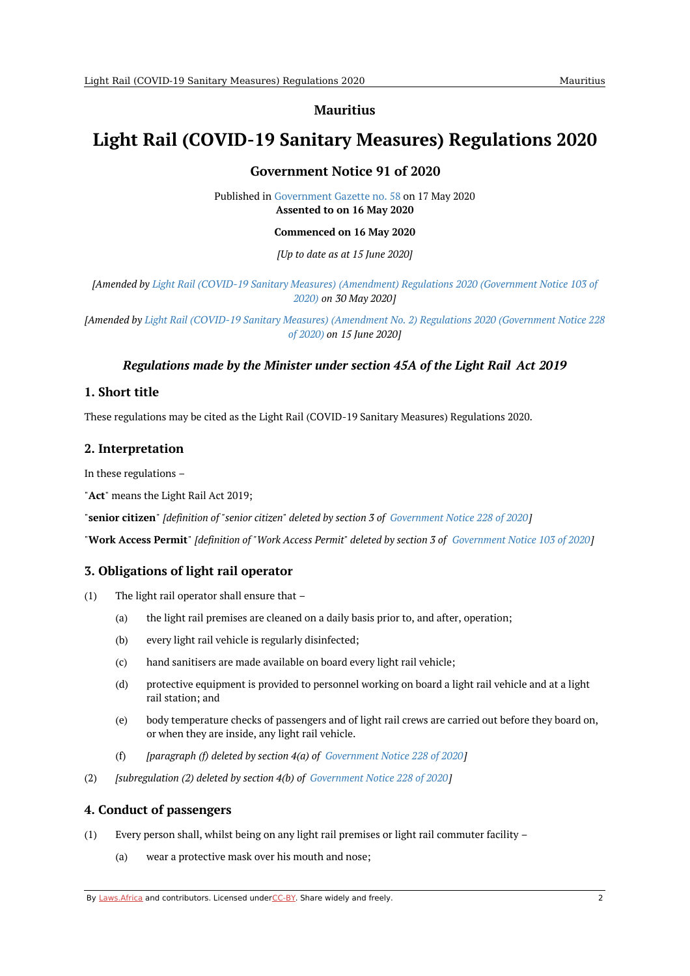#### **Mauritius**

# <span id="page-1-1"></span><span id="page-1-0"></span>**Light Rail (COVID-19 Sanitary Measures) Regulations 2020**

## **Government Notice 91 of 2020**

Published in [Government](https://commons.laws.africa/akn/mu/act/gn/2020/91/media/publication/mu-act-gn-2020-91-publication-document.pdf) Gazette no. 58 on 17 May 2020 **Assented to on 16 May 2020**

#### **Commenced on 16 May 2020**

*[Up to date as at 15 June 2020]*

*[Amended by Light Rail (COVID-19 Sanitary Measures) [\(Amendment\)](https://africanlii.org/akn/mu/act/gn/2020/103) Regulations 2020 (Government Notice 103 of 2020) on 30 May 2020]*

*[Amended by Light Rail (COVID-19 Sanitary Measures) (Amendment No. 2) Regulations 2020 [\(Government](https://africanlii.org/akn/mu/act/gn/2020/228) Notice 228 of 2020) on 15 June 2020]*

## *Regulations made by the Minister under section 45A of the Light Rail Act 2019*

#### <span id="page-1-3"></span><span id="page-1-2"></span>**1. Short title**

These regulations may be cited as the Light Rail (COVID-19 Sanitary Measures) Regulations 2020.

## <span id="page-1-4"></span>**2. Interpretation**

In these regulations –

"**Act**" means the Light Rail Act 2019;

"**senior citizen**" *[definition of "senior citizen" deleted by section 3 of [Government](https://africanlii.org/akn/mu/act/gn/2020/228) Notice 228 of 2020]*

"Work Access Permit" [definition of "Work Access Permit" deleted by section 3 of [Government](https://africanlii.org/akn/mu/act/gn/2020/103) Notice 103 of 2020]

## <span id="page-1-5"></span>**3. Obligations of light rail operator**

- (1) The light rail operator shall ensure that –
	- (a) the light rail premises are cleaned on a daily basis prior to, and after, operation;
	- (b) every light rail vehicle is regularly disinfected;
	- (c) hand sanitisers are made available on board every light rail vehicle;
	- (d) protective equipment is provided to personnel working on board a light rail vehicle and at a light rail station; and
	- (e) body temperature checks of passengers and of light rail crews are carried out before they board on, or when they are inside, any light rail vehicle.
	- (f) *[paragraph (f) deleted by section 4(a) of [Government](https://africanlii.org/akn/mu/act/gn/2020/228) Notice 228 of 2020]*
- (2) *[subregulation (2) deleted by section 4(b) of [Government](https://africanlii.org/akn/mu/act/gn/2020/228) Notice 228 of 2020]*

## <span id="page-1-6"></span>**4. Conduct of passengers**

- (1) Every person shall, whilst being on any light rail premises or light rail commuter facility –
	- (a) wear a protective mask over his mouth and nose;

By [Laws.Africa](https://edit.laws.africa/widgets/pdf-attribution) and contributors. Licensed und[erCC-B](https://edit.laws.africa/widgets/pdf-cc-by)Y. Share widely and freely.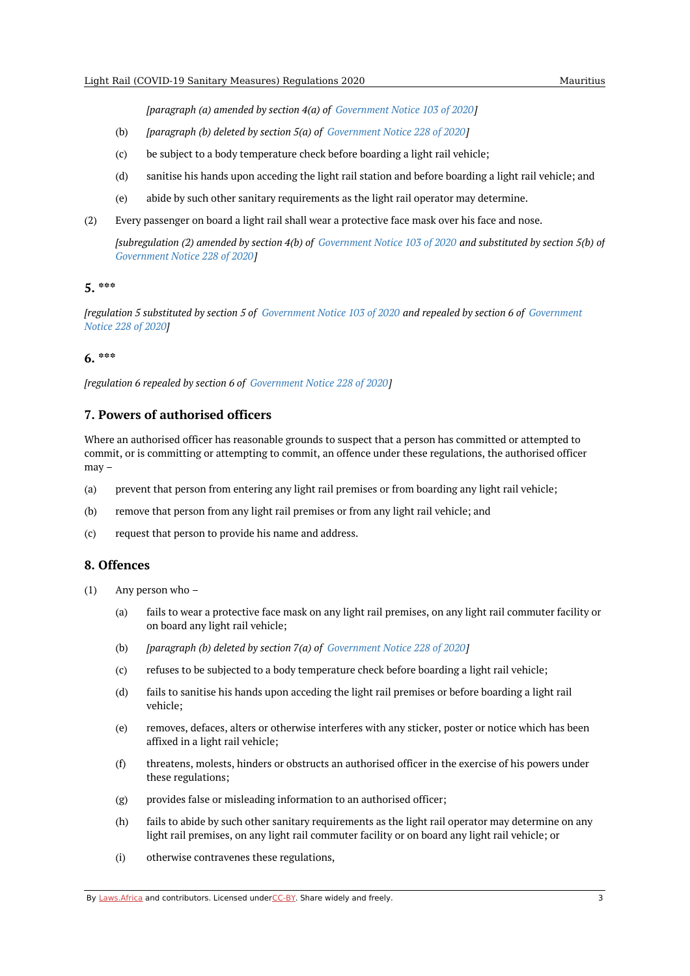*[paragraph (a) amended by section 4(a) of [Government](https://africanlii.org/akn/mu/act/gn/2020/103) Notice 103 of 2020]*

- (b) *[paragraph (b) deleted by section 5(a) of [Government](https://africanlii.org/akn/mu/act/gn/2020/228) Notice 228 of 2020]*
- (c) be subject to a body temperature check before boarding a light rail vehicle;
- (d) sanitise his hands upon acceding the light rail station and before boarding a light rail vehicle; and
- (e) abide by such other sanitary requirements as the light rail operator may determine.
- (2) Every passenger on board a light rail shall wear a protective face mask over his face and nose.

[subregulation (2) amended by section 4(b) of [Government](https://africanlii.org/akn/mu/act/gn/2020/103) Notice 103 of 2020 and substituted by section 5(b) of *[Government](https://africanlii.org/akn/mu/act/gn/2020/228) Notice 228 of 2020]*

#### <span id="page-2-0"></span>**5. \*\*\***

fregulation 5 substituted by section 5 of [Government](https://africanlii.org/akn/mu/act/gn/2020/103) Notice 103 of 2020 and repealed by section 6 of Government *Notice 228 of 2020]*

#### <span id="page-2-1"></span>**6. \*\*\***

*[regulation 6 repealed by section 6 of [Government](https://africanlii.org/akn/mu/act/gn/2020/228) Notice 228 of 2020]*

## <span id="page-2-2"></span>**7. Powers of authorised officers**

Where an authorised officer has reasonable grounds to suspect that a person has committed or attempted to commit, or is committing or attempting to commit, an offence under these regulations, the authorised officer may –

- (a) prevent that person from entering any light rail premises or from boarding any light rail vehicle;
- (b) remove that person from any light rail premises or from any light rail vehicle; and
- $(c)$ request that person to provide his name and address.

#### <span id="page-2-3"></span>**8. Offences**

- (1) Any person who –
	- (a) fails to wear a protective face mask on any light rail premises, on any light rail commuter facility or on board any light rail vehicle;
	- (b) *[paragraph (b) deleted by section 7(a) of [Government](https://africanlii.org/akn/mu/act/gn/2020/228) Notice 228 of 2020]*
	- (c) refuses to be subjected to a body temperature check before boarding a light rail vehicle;
	- (d) fails to sanitise his hands upon acceding the light rail premises or before boarding a light rail vehicle;
	- (e) removes, defaces, alters or otherwise interferes with any sticker, poster or notice which has been affixed in a light rail vehicle;
	- (f) threatens, molests, hinders or obstructs an authorised officer in the exercise of his powers under these regulations;
	- (g) provides false or misleading information to an authorised officer;
	- (h) fails to abide by such other sanitary requirements as the light rail operator may determine on any light rail premises, on any light rail commuter facility or on board any light rail vehicle; or
	- (i) otherwise contravenes these regulations,